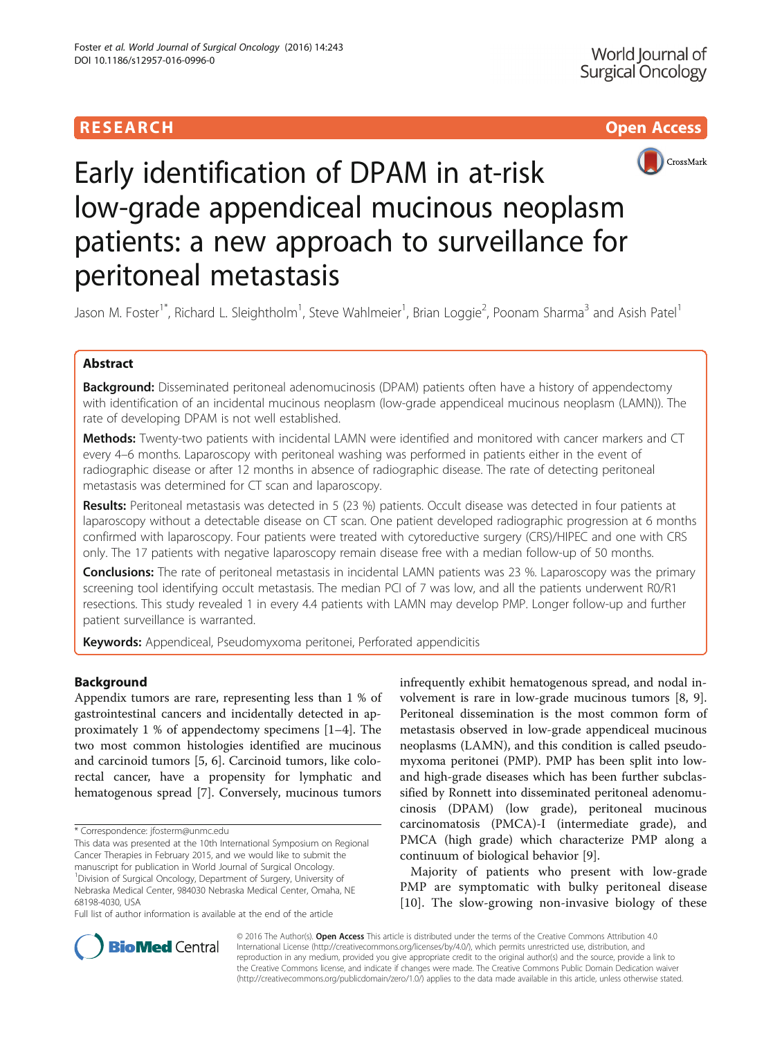# RESEARCH **RESEARCH CHOOSE ACCESS**



# Early identification of DPAM in at-risk low-grade appendiceal mucinous neoplasm patients: a new approach to surveillance for peritoneal metastasis

Jason M. Foster<sup>1\*</sup>, Richard L. Sleightholm<sup>1</sup>, Steve Wahlmeier<sup>1</sup>, Brian Loggie<sup>2</sup>, Poonam Sharma<sup>3</sup> and Asish Patel<sup>1</sup>

# Abstract

**Background:** Disseminated peritoneal adenomucinosis (DPAM) patients often have a history of appendectomy with identification of an incidental mucinous neoplasm (low-grade appendiceal mucinous neoplasm (LAMN)). The rate of developing DPAM is not well established.

Methods: Twenty-two patients with incidental LAMN were identified and monitored with cancer markers and CT every 4–6 months. Laparoscopy with peritoneal washing was performed in patients either in the event of radiographic disease or after 12 months in absence of radiographic disease. The rate of detecting peritoneal metastasis was determined for CT scan and laparoscopy.

Results: Peritoneal metastasis was detected in 5 (23 %) patients. Occult disease was detected in four patients at laparoscopy without a detectable disease on CT scan. One patient developed radiographic progression at 6 months confirmed with laparoscopy. Four patients were treated with cytoreductive surgery (CRS)/HIPEC and one with CRS only. The 17 patients with negative laparoscopy remain disease free with a median follow-up of 50 months.

Conclusions: The rate of peritoneal metastasis in incidental LAMN patients was 23 %. Laparoscopy was the primary screening tool identifying occult metastasis. The median PCI of 7 was low, and all the patients underwent R0/R1 resections. This study revealed 1 in every 4.4 patients with LAMN may develop PMP. Longer follow-up and further patient surveillance is warranted.

Keywords: Appendiceal, Pseudomyxoma peritonei, Perforated appendicitis

# Background

Appendix tumors are rare, representing less than 1 % of gastrointestinal cancers and incidentally detected in approximately 1 % of appendectomy specimens [[1](#page-6-0)–[4\]](#page-6-0). The two most common histologies identified are mucinous and carcinoid tumors [\[5, 6](#page-6-0)]. Carcinoid tumors, like colorectal cancer, have a propensity for lymphatic and hematogenous spread [\[7\]](#page-6-0). Conversely, mucinous tumors

Full list of author information is available at the end of the article

infrequently exhibit hematogenous spread, and nodal involvement is rare in low-grade mucinous tumors [\[8](#page-6-0), [9](#page-6-0)]. Peritoneal dissemination is the most common form of metastasis observed in low-grade appendiceal mucinous neoplasms (LAMN), and this condition is called pseudomyxoma peritonei (PMP). PMP has been split into lowand high-grade diseases which has been further subclassified by Ronnett into disseminated peritoneal adenomucinosis (DPAM) (low grade), peritoneal mucinous carcinomatosis (PMCA)-I (intermediate grade), and PMCA (high grade) which characterize PMP along a continuum of biological behavior [[9\]](#page-6-0).

Majority of patients who present with low-grade PMP are symptomatic with bulky peritoneal disease [[10](#page-6-0)]. The slow-growing non-invasive biology of these



© 2016 The Author(s). Open Access This article is distributed under the terms of the Creative Commons Attribution 4.0 International License [\(http://creativecommons.org/licenses/by/4.0/](http://creativecommons.org/licenses/by/4.0/)), which permits unrestricted use, distribution, and reproduction in any medium, provided you give appropriate credit to the original author(s) and the source, provide a link to the Creative Commons license, and indicate if changes were made. The Creative Commons Public Domain Dedication waiver [\(http://creativecommons.org/publicdomain/zero/1.0/](http://creativecommons.org/publicdomain/zero/1.0/)) applies to the data made available in this article, unless otherwise stated.

<sup>\*</sup> Correspondence: [jfosterm@unmc.edu](mailto:jfosterm@unmc.edu)

This data was presented at the 10th International Symposium on Regional Cancer Therapies in February 2015, and we would like to submit the manuscript for publication in World Journal of Surgical Oncology. <sup>1</sup> Division of Surgical Oncology, Department of Surgery, University of Nebraska Medical Center, 984030 Nebraska Medical Center, Omaha, NE 68198-4030, USA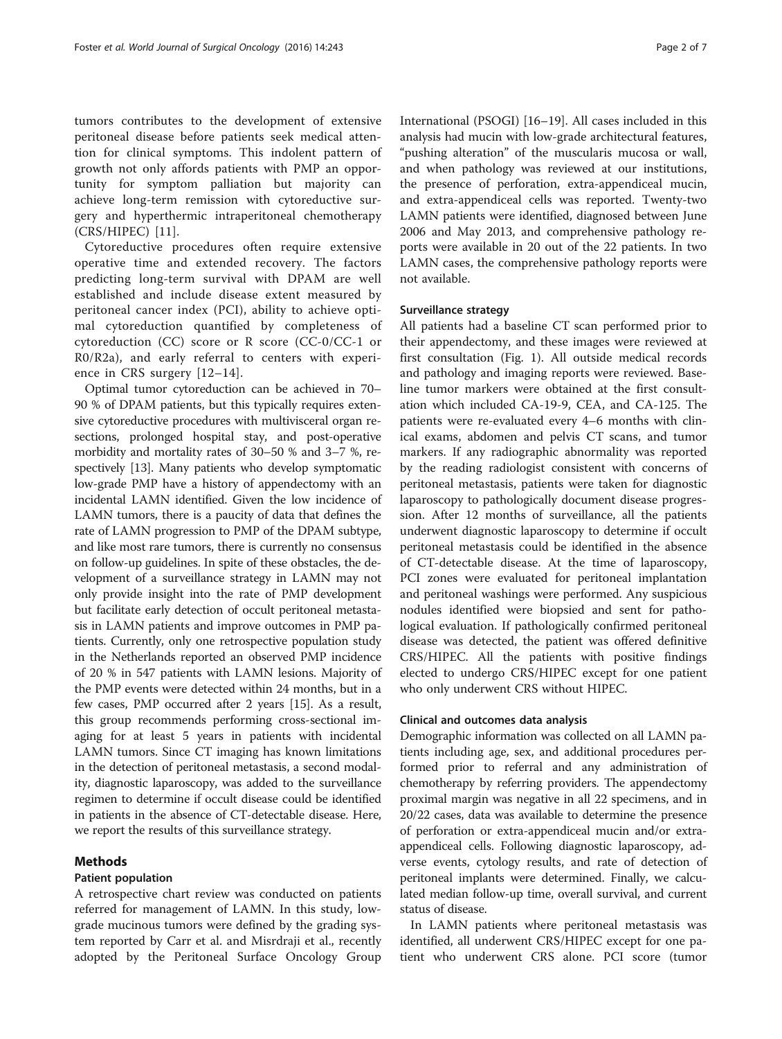tumors contributes to the development of extensive peritoneal disease before patients seek medical attention for clinical symptoms. This indolent pattern of growth not only affords patients with PMP an opportunity for symptom palliation but majority can achieve long-term remission with cytoreductive surgery and hyperthermic intraperitoneal chemotherapy (CRS/HIPEC) [\[11](#page-6-0)].

Cytoreductive procedures often require extensive operative time and extended recovery. The factors predicting long-term survival with DPAM are well established and include disease extent measured by peritoneal cancer index (PCI), ability to achieve optimal cytoreduction quantified by completeness of cytoreduction (CC) score or R score (CC-0/CC-1 or R0/R2a), and early referral to centers with experience in CRS surgery [[12](#page-6-0)–[14\]](#page-6-0).

Optimal tumor cytoreduction can be achieved in 70– 90 % of DPAM patients, but this typically requires extensive cytoreductive procedures with multivisceral organ resections, prolonged hospital stay, and post-operative morbidity and mortality rates of 30–50 % and 3–7 %, respectively [\[13\]](#page-6-0). Many patients who develop symptomatic low-grade PMP have a history of appendectomy with an incidental LAMN identified. Given the low incidence of LAMN tumors, there is a paucity of data that defines the rate of LAMN progression to PMP of the DPAM subtype, and like most rare tumors, there is currently no consensus on follow-up guidelines. In spite of these obstacles, the development of a surveillance strategy in LAMN may not only provide insight into the rate of PMP development but facilitate early detection of occult peritoneal metastasis in LAMN patients and improve outcomes in PMP patients. Currently, only one retrospective population study in the Netherlands reported an observed PMP incidence of 20 % in 547 patients with LAMN lesions. Majority of the PMP events were detected within 24 months, but in a few cases, PMP occurred after 2 years [[15](#page-6-0)]. As a result, this group recommends performing cross-sectional imaging for at least 5 years in patients with incidental LAMN tumors. Since CT imaging has known limitations in the detection of peritoneal metastasis, a second modality, diagnostic laparoscopy, was added to the surveillance regimen to determine if occult disease could be identified in patients in the absence of CT-detectable disease. Here, we report the results of this surveillance strategy.

## Methods

## Patient population

A retrospective chart review was conducted on patients referred for management of LAMN. In this study, lowgrade mucinous tumors were defined by the grading system reported by Carr et al. and Misrdraji et al., recently adopted by the Peritoneal Surface Oncology Group International (PSOGI) [[16](#page-6-0)–[19](#page-6-0)]. All cases included in this analysis had mucin with low-grade architectural features, "pushing alteration" of the muscularis mucosa or wall, and when pathology was reviewed at our institutions, the presence of perforation, extra-appendiceal mucin, and extra-appendiceal cells was reported. Twenty-two LAMN patients were identified, diagnosed between June 2006 and May 2013, and comprehensive pathology reports were available in 20 out of the 22 patients. In two LAMN cases, the comprehensive pathology reports were not available.

## Surveillance strategy

All patients had a baseline CT scan performed prior to their appendectomy, and these images were reviewed at first consultation (Fig. [1](#page-2-0)). All outside medical records and pathology and imaging reports were reviewed. Baseline tumor markers were obtained at the first consultation which included CA-19-9, CEA, and CA-125. The patients were re-evaluated every 4–6 months with clinical exams, abdomen and pelvis CT scans, and tumor markers. If any radiographic abnormality was reported by the reading radiologist consistent with concerns of peritoneal metastasis, patients were taken for diagnostic laparoscopy to pathologically document disease progression. After 12 months of surveillance, all the patients underwent diagnostic laparoscopy to determine if occult peritoneal metastasis could be identified in the absence of CT-detectable disease. At the time of laparoscopy, PCI zones were evaluated for peritoneal implantation and peritoneal washings were performed. Any suspicious nodules identified were biopsied and sent for pathological evaluation. If pathologically confirmed peritoneal disease was detected, the patient was offered definitive CRS/HIPEC. All the patients with positive findings elected to undergo CRS/HIPEC except for one patient who only underwent CRS without HIPEC.

## Clinical and outcomes data analysis

Demographic information was collected on all LAMN patients including age, sex, and additional procedures performed prior to referral and any administration of chemotherapy by referring providers. The appendectomy proximal margin was negative in all 22 specimens, and in 20/22 cases, data was available to determine the presence of perforation or extra-appendiceal mucin and/or extraappendiceal cells. Following diagnostic laparoscopy, adverse events, cytology results, and rate of detection of peritoneal implants were determined. Finally, we calculated median follow-up time, overall survival, and current status of disease.

In LAMN patients where peritoneal metastasis was identified, all underwent CRS/HIPEC except for one patient who underwent CRS alone. PCI score (tumor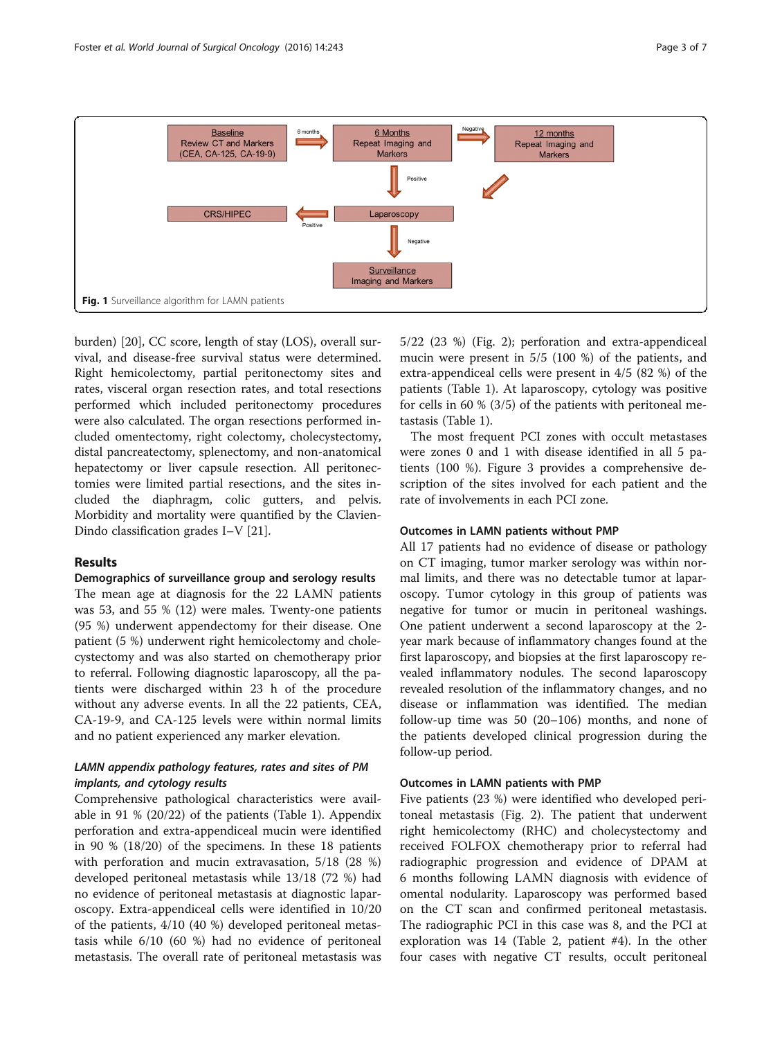<span id="page-2-0"></span>

burden) [\[20\]](#page-6-0), CC score, length of stay (LOS), overall survival, and disease-free survival status were determined. Right hemicolectomy, partial peritonectomy sites and rates, visceral organ resection rates, and total resections performed which included peritonectomy procedures were also calculated. The organ resections performed included omentectomy, right colectomy, cholecystectomy, distal pancreatectomy, splenectomy, and non-anatomical hepatectomy or liver capsule resection. All peritonectomies were limited partial resections, and the sites included the diaphragm, colic gutters, and pelvis. Morbidity and mortality were quantified by the Clavien-Dindo classification grades I–V [\[21](#page-6-0)].

# Results

#### Demographics of surveillance group and serology results

The mean age at diagnosis for the 22 LAMN patients was 53, and 55 % (12) were males. Twenty-one patients (95 %) underwent appendectomy for their disease. One patient (5 %) underwent right hemicolectomy and cholecystectomy and was also started on chemotherapy prior to referral. Following diagnostic laparoscopy, all the patients were discharged within 23 h of the procedure without any adverse events. In all the 22 patients, CEA, CA-19-9, and CA-125 levels were within normal limits and no patient experienced any marker elevation.

# LAMN appendix pathology features, rates and sites of PM implants, and cytology results

Comprehensive pathological characteristics were available in 91 % (20/22) of the patients (Table [1\)](#page-3-0). Appendix perforation and extra-appendiceal mucin were identified in 90 % (18/20) of the specimens. In these 18 patients with perforation and mucin extravasation, 5/18 (28 %) developed peritoneal metastasis while 13/18 (72 %) had no evidence of peritoneal metastasis at diagnostic laparoscopy. Extra-appendiceal cells were identified in 10/20 of the patients, 4/10 (40 %) developed peritoneal metastasis while 6/10 (60 %) had no evidence of peritoneal metastasis. The overall rate of peritoneal metastasis was

5/22 (23 %) (Fig. [2\)](#page-3-0); perforation and extra-appendiceal mucin were present in 5/5 (100 %) of the patients, and extra-appendiceal cells were present in 4/5 (82 %) of the patients (Table [1](#page-3-0)). At laparoscopy, cytology was positive for cells in 60 % (3/5) of the patients with peritoneal metastasis (Table [1](#page-3-0)).

The most frequent PCI zones with occult metastases were zones 0 and 1 with disease identified in all 5 patients (100 %). Figure [3](#page-4-0) provides a comprehensive description of the sites involved for each patient and the rate of involvements in each PCI zone.

## Outcomes in LAMN patients without PMP

All 17 patients had no evidence of disease or pathology on CT imaging, tumor marker serology was within normal limits, and there was no detectable tumor at laparoscopy. Tumor cytology in this group of patients was negative for tumor or mucin in peritoneal washings. One patient underwent a second laparoscopy at the 2 year mark because of inflammatory changes found at the first laparoscopy, and biopsies at the first laparoscopy revealed inflammatory nodules. The second laparoscopy revealed resolution of the inflammatory changes, and no disease or inflammation was identified. The median follow-up time was 50 (20–106) months, and none of the patients developed clinical progression during the follow-up period.

## Outcomes in LAMN patients with PMP

Five patients (23 %) were identified who developed peritoneal metastasis (Fig. [2](#page-3-0)). The patient that underwent right hemicolectomy (RHC) and cholecystectomy and received FOLFOX chemotherapy prior to referral had radiographic progression and evidence of DPAM at 6 months following LAMN diagnosis with evidence of omental nodularity. Laparoscopy was performed based on the CT scan and confirmed peritoneal metastasis. The radiographic PCI in this case was 8, and the PCI at exploration was 14 (Table [2,](#page-4-0) patient #4). In the other four cases with negative CT results, occult peritoneal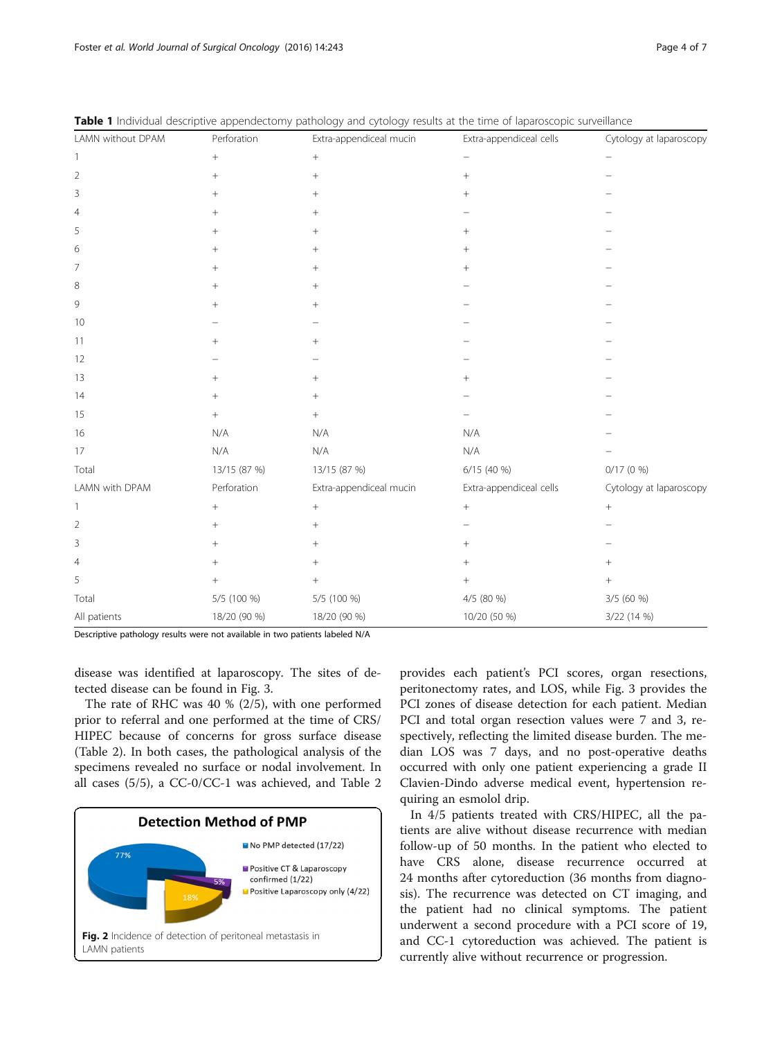| LAMN without DPAM        | Perforation  | Extra-appendiceal mucin | Extra-appendiceal cells | Cytology at laparoscopy |  |
|--------------------------|--------------|-------------------------|-------------------------|-------------------------|--|
| $\mathbf{1}$             | $^{+}$       | $+$                     |                         |                         |  |
| $\overline{2}$           | $^{+}$       | $^+$                    | $\! +$                  |                         |  |
| 3                        | $^{+}$       | $^{+}$                  | $\! + \!\!\!\!$         |                         |  |
| 4                        | $^{+}$       | $^{+}$                  |                         |                         |  |
| 5                        |              | $^+$                    | $+$                     |                         |  |
| 6                        | $^{+}$       |                         | $\! + \!\!\!\!$         |                         |  |
| 7                        | $^{+}$       | $^{+}$                  | $^{+}$                  |                         |  |
| $\,8$                    | $^{+}$       | $^+$                    |                         |                         |  |
| 9                        | $^+$         | $^{+}$                  |                         |                         |  |
| 10                       |              |                         |                         |                         |  |
| 11                       | $^{+}$       |                         |                         |                         |  |
| 12                       |              |                         |                         |                         |  |
| 13                       | $^{+}$       |                         | $\! + \!\!\!\!$         |                         |  |
| 14                       | $^{+}$       | $^{+}$                  |                         |                         |  |
| 15                       | $^{+}$       | $\boldsymbol{+}$        |                         |                         |  |
| 16                       | N/A          | N/A                     | N/A                     |                         |  |
| 17                       | N/A          | N/A                     | N/A                     |                         |  |
| Total                    | 13/15 (87 %) | 13/15 (87 %)            | 6/15 (40 %)             | 0/17(0%                 |  |
| LAMN with DPAM           | Perforation  | Extra-appendiceal mucin | Extra-appendiceal cells | Cytology at laparoscopy |  |
| $\overline{\phantom{a}}$ | $^{+}$       |                         | $\boldsymbol{+}$        | $^{+}$                  |  |
| $\overline{2}$           | $^{+}$       | $^{+}$                  |                         |                         |  |
| 3                        | $^{+}$       | $^{+}$                  | $^{+}$                  |                         |  |
| 4                        | $^{+}$       | $^{+}$                  | $\! + \!\!\!\!$         | $^{+}$                  |  |
| 5                        | $^{+}$       | $\! + \!$               |                         | $\! +$                  |  |
| Total                    | 5/5 (100 %)  | 5/5 (100 %)             | 4/5 (80 %)              | 3/5 (60 %)              |  |
| All patients             | 18/20 (90 %) | 18/20 (90 %)            | 10/20 (50 %)            | 3/22 (14 %)             |  |

<span id="page-3-0"></span>**Table 1** Individual descriptive appendectomy pathology and cytology results at the time of laparoscopic surveillance

Descriptive pathology results were not available in two patients labeled N/A

disease was identified at laparoscopy. The sites of detected disease can be found in Fig. [3.](#page-4-0)

The rate of RHC was 40 % (2/5), with one performed prior to referral and one performed at the time of CRS/ HIPEC because of concerns for gross surface disease (Table [2\)](#page-4-0). In both cases, the pathological analysis of the specimens revealed no surface or nodal involvement. In all cases (5/5), a CC-0/CC-1 was achieved, and Table [2](#page-4-0)



provides each patient's PCI scores, organ resections, peritonectomy rates, and LOS, while Fig. [3](#page-4-0) provides the PCI zones of disease detection for each patient. Median PCI and total organ resection values were 7 and 3, respectively, reflecting the limited disease burden. The median LOS was 7 days, and no post-operative deaths occurred with only one patient experiencing a grade II Clavien-Dindo adverse medical event, hypertension requiring an esmolol drip.

In 4/5 patients treated with CRS/HIPEC, all the patients are alive without disease recurrence with median follow-up of 50 months. In the patient who elected to have CRS alone, disease recurrence occurred at 24 months after cytoreduction (36 months from diagnosis). The recurrence was detected on CT imaging, and the patient had no clinical symptoms. The patient underwent a second procedure with a PCI score of 19, and CC-1 cytoreduction was achieved. The patient is currently alive without recurrence or progression.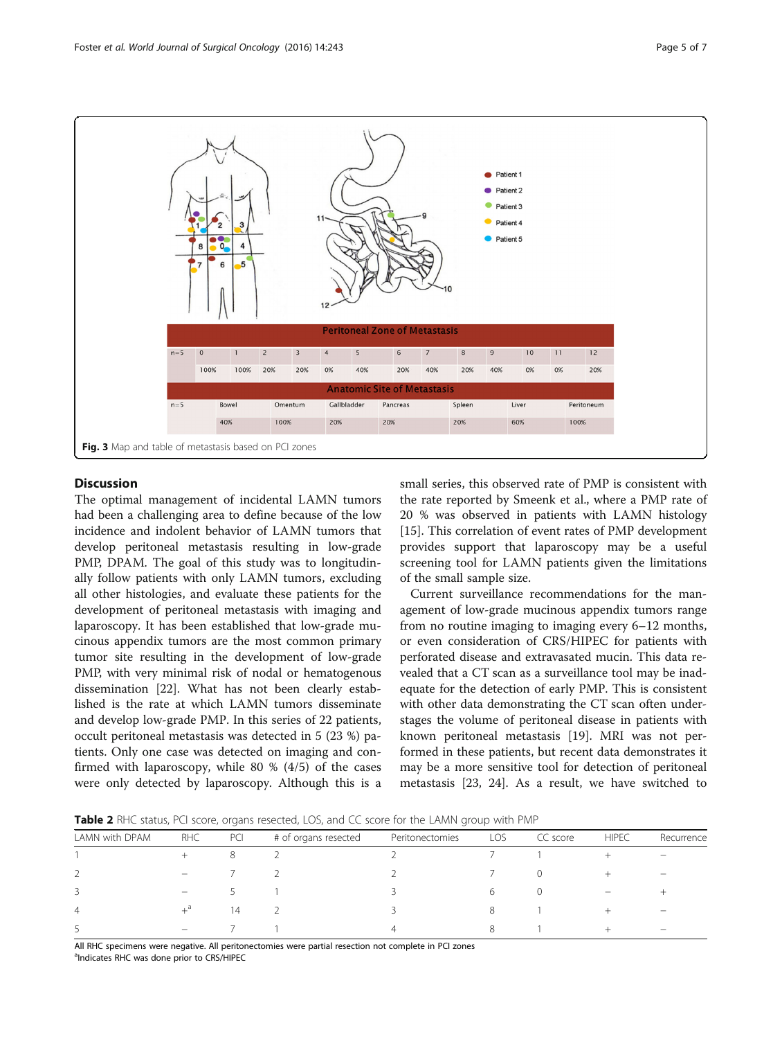<span id="page-4-0"></span>

# Discussion

The optimal management of incidental LAMN tumors had been a challenging area to define because of the low incidence and indolent behavior of LAMN tumors that develop peritoneal metastasis resulting in low-grade PMP, DPAM. The goal of this study was to longitudinally follow patients with only LAMN tumors, excluding all other histologies, and evaluate these patients for the development of peritoneal metastasis with imaging and laparoscopy. It has been established that low-grade mucinous appendix tumors are the most common primary tumor site resulting in the development of low-grade PMP, with very minimal risk of nodal or hematogenous dissemination [[22\]](#page-6-0). What has not been clearly established is the rate at which LAMN tumors disseminate and develop low-grade PMP. In this series of 22 patients, occult peritoneal metastasis was detected in 5 (23 %) patients. Only one case was detected on imaging and confirmed with laparoscopy, while 80 % (4/5) of the cases were only detected by laparoscopy. Although this is a small series, this observed rate of PMP is consistent with the rate reported by Smeenk et al., where a PMP rate of 20 % was observed in patients with LAMN histology [[15\]](#page-6-0). This correlation of event rates of PMP development provides support that laparoscopy may be a useful screening tool for LAMN patients given the limitations of the small sample size.

Current surveillance recommendations for the management of low-grade mucinous appendix tumors range from no routine imaging to imaging every 6–12 months, or even consideration of CRS/HIPEC for patients with perforated disease and extravasated mucin. This data revealed that a CT scan as a surveillance tool may be inadequate for the detection of early PMP. This is consistent with other data demonstrating the CT scan often understages the volume of peritoneal disease in patients with known peritoneal metastasis [[19\]](#page-6-0). MRI was not performed in these patients, but recent data demonstrates it may be a more sensitive tool for detection of peritoneal metastasis [[23, 24](#page-6-0)]. As a result, we have switched to

**Table 2** RHC status, PCI score, organs resected, LOS, and CC score for the LAMN group with PMP

| LAMN with DPAM | RHC                      | PCI | # of organs resected | Peritonectomies | LOS | CC score | <b>HIPEC</b>                   | Recurrence                      |
|----------------|--------------------------|-----|----------------------|-----------------|-----|----------|--------------------------------|---------------------------------|
|                |                          | 8   |                      |                 |     |          |                                | $\hspace{0.1mm}-\hspace{0.1mm}$ |
|                | $\overline{\phantom{0}}$ |     |                      |                 |     |          |                                |                                 |
|                | $\overline{\phantom{a}}$ |     |                      |                 | 6.  |          | $\qquad \qquad \longleftarrow$ |                                 |
| $\overline{4}$ | $+^d$                    | 14  |                      |                 |     |          |                                |                                 |
|                |                          |     |                      |                 |     |          |                                |                                 |
|                |                          |     |                      |                 |     |          |                                |                                 |

All RHC specimens were negative. All peritonectomies were partial resection not complete in PCI zones

alndicates RHC was done prior to CRS/HIPEC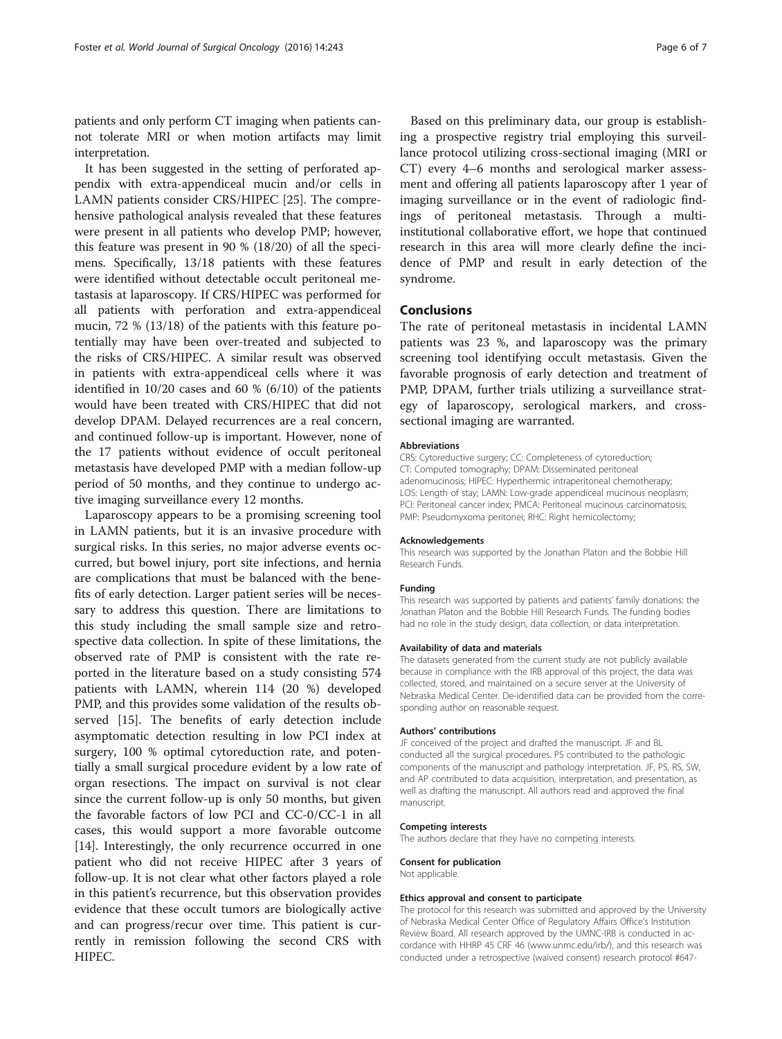patients and only perform CT imaging when patients cannot tolerate MRI or when motion artifacts may limit interpretation.

It has been suggested in the setting of perforated appendix with extra-appendiceal mucin and/or cells in LAMN patients consider CRS/HIPEC [\[25](#page-6-0)]. The comprehensive pathological analysis revealed that these features were present in all patients who develop PMP; however, this feature was present in 90 % (18/20) of all the specimens. Specifically, 13/18 patients with these features were identified without detectable occult peritoneal metastasis at laparoscopy. If CRS/HIPEC was performed for all patients with perforation and extra-appendiceal mucin, 72 % (13/18) of the patients with this feature potentially may have been over-treated and subjected to the risks of CRS/HIPEC. A similar result was observed in patients with extra-appendiceal cells where it was identified in 10/20 cases and 60 % (6/10) of the patients would have been treated with CRS/HIPEC that did not develop DPAM. Delayed recurrences are a real concern, and continued follow-up is important. However, none of the 17 patients without evidence of occult peritoneal metastasis have developed PMP with a median follow-up period of 50 months, and they continue to undergo active imaging surveillance every 12 months.

Laparoscopy appears to be a promising screening tool in LAMN patients, but it is an invasive procedure with surgical risks. In this series, no major adverse events occurred, but bowel injury, port site infections, and hernia are complications that must be balanced with the benefits of early detection. Larger patient series will be necessary to address this question. There are limitations to this study including the small sample size and retrospective data collection. In spite of these limitations, the observed rate of PMP is consistent with the rate reported in the literature based on a study consisting 574 patients with LAMN, wherein 114 (20 %) developed PMP, and this provides some validation of the results observed [[15\]](#page-6-0). The benefits of early detection include asymptomatic detection resulting in low PCI index at surgery, 100 % optimal cytoreduction rate, and potentially a small surgical procedure evident by a low rate of organ resections. The impact on survival is not clear since the current follow-up is only 50 months, but given the favorable factors of low PCI and CC-0/CC-1 in all cases, this would support a more favorable outcome [[14\]](#page-6-0). Interestingly, the only recurrence occurred in one patient who did not receive HIPEC after 3 years of follow-up. It is not clear what other factors played a role in this patient's recurrence, but this observation provides evidence that these occult tumors are biologically active and can progress/recur over time. This patient is currently in remission following the second CRS with HIPEC.

Based on this preliminary data, our group is establishing a prospective registry trial employing this surveillance protocol utilizing cross-sectional imaging (MRI or CT) every 4–6 months and serological marker assessment and offering all patients laparoscopy after 1 year of imaging surveillance or in the event of radiologic findings of peritoneal metastasis. Through a multiinstitutional collaborative effort, we hope that continued research in this area will more clearly define the incidence of PMP and result in early detection of the syndrome.

#### Conclusions

The rate of peritoneal metastasis in incidental LAMN patients was 23 %, and laparoscopy was the primary screening tool identifying occult metastasis. Given the favorable prognosis of early detection and treatment of PMP, DPAM, further trials utilizing a surveillance strategy of laparoscopy, serological markers, and crosssectional imaging are warranted.

#### Abbreviations

CRS: Cytoreductive surgery; CC: Completeness of cytoreduction; CT: Computed tomography; DPAM: Disseminated peritoneal adenomucinosis; HIPEC: Hyperthermic intraperitoneal chemotherapy; LOS: Length of stay; LAMN: Low-grade appendiceal mucinous neoplasm; PCI: Peritoneal cancer index; PMCA: Peritoneal mucinous carcinomatosis; PMP: Pseudomyxoma peritonei; RHC: Right hemicolectomy;

#### Acknowledgements

This research was supported by the Jonathan Platon and the Bobbie Hill Research Funds.

#### Funding

This research was supported by patients and patients' family donations: the Jonathan Platon and the Bobbie Hill Research Funds. The funding bodies had no role in the study design, data collection, or data interpretation.

#### Availability of data and materials

The datasets generated from the current study are not publicly available because in compliance with the IRB approval of this project, the data was collected, stored, and maintained on a secure server at the University of Nebraska Medical Center. De-identified data can be provided from the corresponding author on reasonable request.

#### Authors' contributions

JF conceived of the project and drafted the manuscript. JF and BL conducted all the surgical procedures. PS contributed to the pathologic components of the manuscript and pathology interpretation. JF, PS, RS, SW, and AP contributed to data acquisition, interpretation, and presentation, as well as drafting the manuscript. All authors read and approved the final manuscript.

#### Competing interests

The authors declare that they have no competing interests.

# Consent for publication

Not applicable.

#### Ethics approval and consent to participate

The protocol for this research was submitted and approved by the University of Nebraska Medical Center Office of Regulatory Affairs Office's Institution Review Board. All research approved by the UMNC-IRB is conducted in accordance with HHRP 45 CRF 46 ([www.unmc.edu/irb/\),](http://www.unmc.edu/irb/) and this research was conducted under a retrospective (waived consent) research protocol #647-